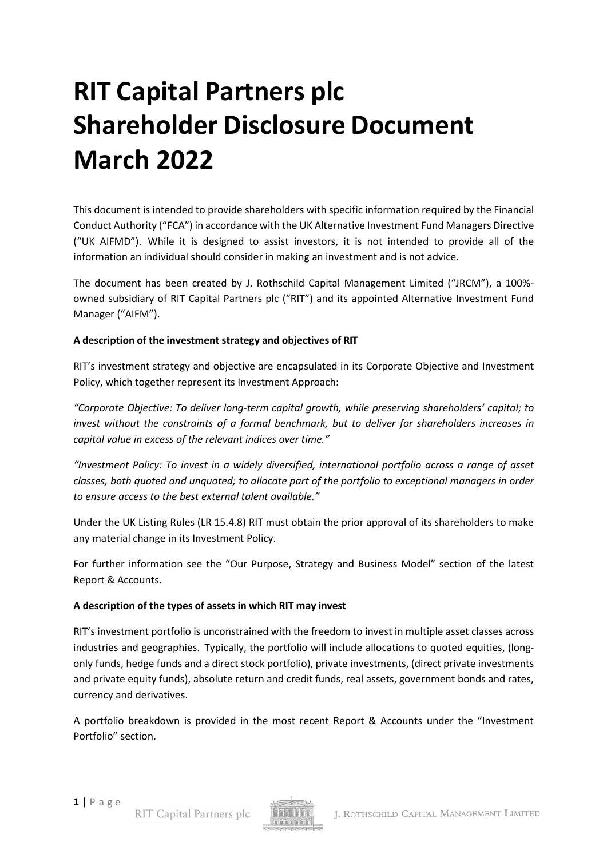# **RIT Capital Partners plc Shareholder Disclosure Document March 2022**

This document is intended to provide shareholders with specific information required by the Financial Conduct Authority ("FCA") in accordance with the UK Alternative Investment Fund Managers Directive ("UK AIFMD"). While it is designed to assist investors, it is not intended to provide all of the information an individual should consider in making an investment and is not advice.

The document has been created by J. Rothschild Capital Management Limited ("JRCM"), a 100% owned subsidiary of RIT Capital Partners plc ("RIT") and its appointed Alternative Investment Fund Manager ("AIFM").

#### **A description of the investment strategy and objectives of RIT**

RIT's investment strategy and objective are encapsulated in its Corporate Objective and Investment Policy, which together represent its Investment Approach:

*"Corporate Objective: To deliver long-term capital growth, while preserving shareholders' capital; to invest without the constraints of a formal benchmark, but to deliver for shareholders increases in capital value in excess of the relevant indices over time."*

*"Investment Policy: To invest in a widely diversified, international portfolio across a range of asset classes, both quoted and unquoted; to allocate part of the portfolio to exceptional managers in order to ensure access to the best external talent available."*

Under the UK Listing Rules (LR 15.4.8) RIT must obtain the prior approval of its shareholders to make any material change in its Investment Policy.

For further information see the "Our Purpose, Strategy and Business Model" section of the latest Report & Accounts.

## **A description of the types of assets in which RIT may invest**

RIT's investment portfolio is unconstrained with the freedom to invest in multiple asset classes across industries and geographies. Typically, the portfolio will include allocations to quoted equities, (longonly funds, hedge funds and a direct stock portfolio), private investments, (direct private investments and private equity funds), absolute return and credit funds, real assets, government bonds and rates, currency and derivatives.

A portfolio breakdown is provided in the most recent Report & Accounts under the "Investment Portfolio" section.

RIT Capital Partners plc

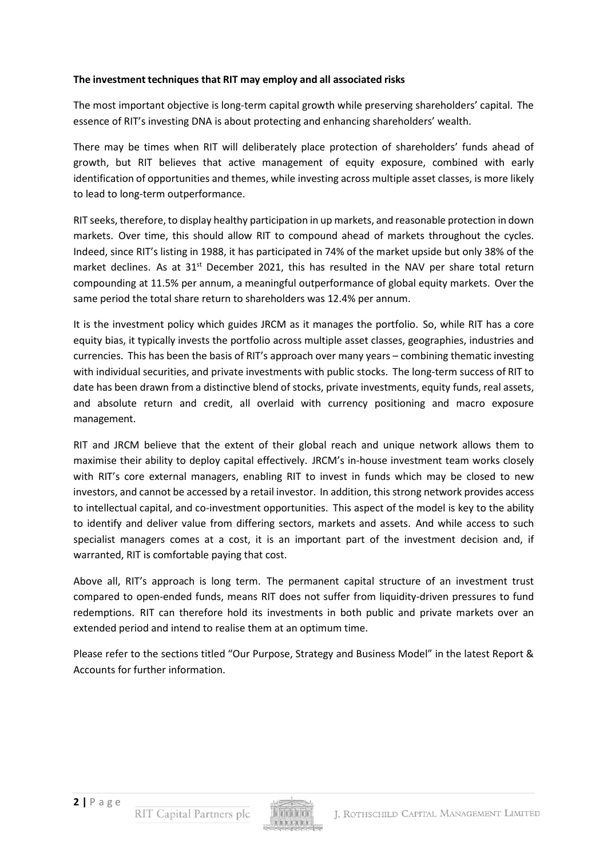## **The investment techniques that RIT may employ and all associated risks**

The most important objective is long-term capital growth while preserving shareholders' capital. The essence of RIT's investing DNA is about protecting and enhancing shareholders' wealth.

There may be times when RIT will deliberately place protection of shareholders' funds ahead of growth, but RIT believes that active management of equity exposure, combined with early identification of opportunities and themes, while investing across multiple asset classes, is more likely to lead to long-term outperformance.

RIT seeks, therefore, to display healthy participation in up markets, and reasonable protection in down markets. Over time, this should allow RIT to compound ahead of markets throughout the cycles. Indeed, since RIT's listing in 1988, it has participated in 74% of the market upside but only 38% of the market declines. As at 31<sup>st</sup> December 2021, this has resulted in the NAV per share total return compounding at 11.5% per annum, a meaningful outperformance of global equity markets. Over the same period the total share return to shareholders was 12.4% per annum.

It is the investment policy which guides JRCM as it manages the portfolio. So, while RIT has a core equity bias, it typically invests the portfolio across multiple asset classes, geographies, industries and currencies. This has been the basis of RIT's approach over many years – combining thematic investing with individual securities, and private investments with public stocks. The long-term success of RIT to date has been drawn from a distinctive blend of stocks, private investments, equity funds, real assets, and absolute return and credit, all overlaid with currency positioning and macro exposure management.

RIT and JRCM believe that the extent of their global reach and unique network allows them to maximise their ability to deploy capital effectively. JRCM's in-house investment team works closely with RIT's core external managers, enabling RIT to invest in funds which may be closed to new investors, and cannot be accessed by a retail investor. In addition, this strong network provides access to intellectual capital, and co-investment opportunities. This aspect of the model is key to the ability to identify and deliver value from differing sectors, markets and assets. And while access to such specialist managers comes at a cost, it is an important part of the investment decision and, if warranted, RIT is comfortable paying that cost.

Above all, RIT's approach is long term. The permanent capital structure of an investment trust compared to open-ended funds, means RIT does not suffer from liquidity-driven pressures to fund redemptions. RIT can therefore hold its investments in both public and private markets over an extended period and intend to realise them at an optimum time.

Please refer to the sections titled "Our Purpose, Strategy and Business Model" in the latest Report & Accounts for further information.

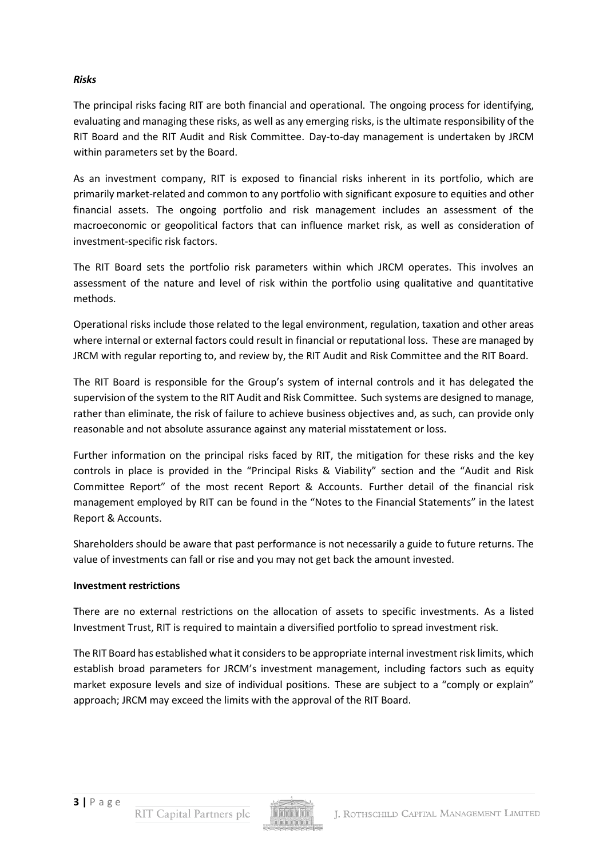## *Risks*

The principal risks facing RIT are both financial and operational. The ongoing process for identifying, evaluating and managing these risks, as well as any emerging risks, is the ultimate responsibility of the RIT Board and the RIT Audit and Risk Committee. Day-to-day management is undertaken by JRCM within parameters set by the Board.

As an investment company, RIT is exposed to financial risks inherent in its portfolio, which are primarily market-related and common to any portfolio with significant exposure to equities and other financial assets. The ongoing portfolio and risk management includes an assessment of the macroeconomic or geopolitical factors that can influence market risk, as well as consideration of investment-specific risk factors.

The RIT Board sets the portfolio risk parameters within which JRCM operates. This involves an assessment of the nature and level of risk within the portfolio using qualitative and quantitative methods.

Operational risks include those related to the legal environment, regulation, taxation and other areas where internal or external factors could result in financial or reputational loss. These are managed by JRCM with regular reporting to, and review by, the RIT Audit and Risk Committee and the RIT Board.

The RIT Board is responsible for the Group's system of internal controls and it has delegated the supervision of the system to the RIT Audit and Risk Committee. Such systems are designed to manage, rather than eliminate, the risk of failure to achieve business objectives and, as such, can provide only reasonable and not absolute assurance against any material misstatement or loss.

Further information on the principal risks faced by RIT, the mitigation for these risks and the key controls in place is provided in the "Principal Risks & Viability" section and the "Audit and Risk Committee Report" of the most recent Report & Accounts. Further detail of the financial risk management employed by RIT can be found in the "Notes to the Financial Statements" in the latest Report & Accounts.

Shareholders should be aware that past performance is not necessarily a guide to future returns. The value of investments can fall or rise and you may not get back the amount invested.

#### **Investment restrictions**

There are no external restrictions on the allocation of assets to specific investments. As a listed Investment Trust, RIT is required to maintain a diversified portfolio to spread investment risk.

The RIT Board has established what it considersto be appropriate internal investment risk limits, which establish broad parameters for JRCM's investment management, including factors such as equity market exposure levels and size of individual positions. These are subject to a "comply or explain" approach; JRCM may exceed the limits with the approval of the RIT Board.

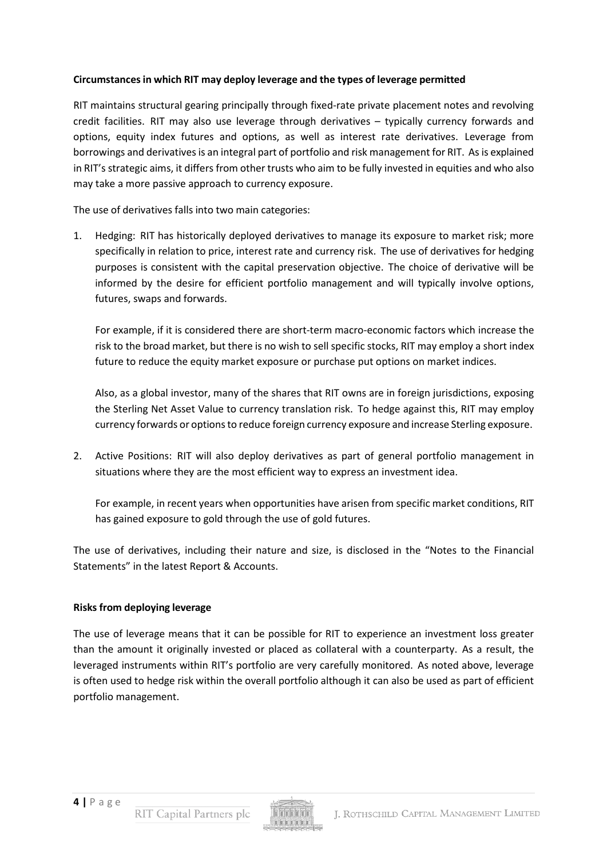## **Circumstancesin which RIT may deploy leverage and the types of leverage permitted**

RIT maintains structural gearing principally through fixed-rate private placement notes and revolving credit facilities. RIT may also use leverage through derivatives – typically currency forwards and options, equity index futures and options, as well as interest rate derivatives. Leverage from borrowings and derivativesis an integral part of portfolio and risk management for RIT. As is explained in RIT's strategic aims, it differs from other trusts who aim to be fully invested in equities and who also may take a more passive approach to currency exposure.

The use of derivatives falls into two main categories:

1. Hedging: RIT has historically deployed derivatives to manage its exposure to market risk; more specifically in relation to price, interest rate and currency risk. The use of derivatives for hedging purposes is consistent with the capital preservation objective. The choice of derivative will be informed by the desire for efficient portfolio management and will typically involve options, futures, swaps and forwards.

For example, if it is considered there are short-term macro-economic factors which increase the risk to the broad market, but there is no wish to sell specific stocks, RIT may employ a short index future to reduce the equity market exposure or purchase put options on market indices.

Also, as a global investor, many of the shares that RIT owns are in foreign jurisdictions, exposing the Sterling Net Asset Value to currency translation risk. To hedge against this, RIT may employ currency forwards or options to reduce foreign currency exposure and increase Sterling exposure.

2. Active Positions: RIT will also deploy derivatives as part of general portfolio management in situations where they are the most efficient way to express an investment idea.

For example, in recent years when opportunities have arisen from specific market conditions, RIT has gained exposure to gold through the use of gold futures.

The use of derivatives, including their nature and size, is disclosed in the "Notes to the Financial Statements" in the latest Report & Accounts.

## **Risks from deploying leverage**

The use of leverage means that it can be possible for RIT to experience an investment loss greater than the amount it originally invested or placed as collateral with a counterparty. As a result, the leveraged instruments within RIT's portfolio are very carefully monitored. As noted above, leverage is often used to hedge risk within the overall portfolio although it can also be used as part of efficient portfolio management.

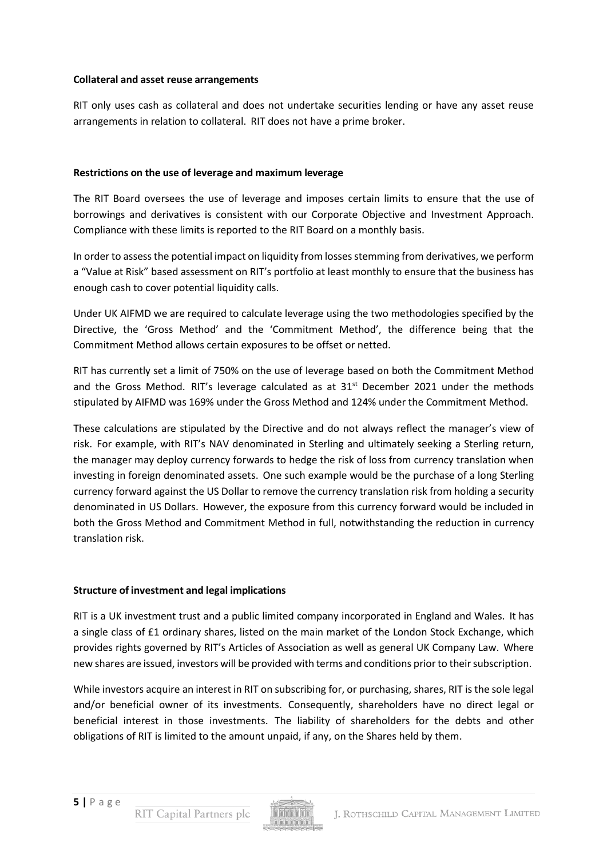#### **Collateral and asset reuse arrangements**

RIT only uses cash as collateral and does not undertake securities lending or have any asset reuse arrangements in relation to collateral. RIT does not have a prime broker.

## **Restrictions on the use of leverage and maximum leverage**

The RIT Board oversees the use of leverage and imposes certain limits to ensure that the use of borrowings and derivatives is consistent with our Corporate Objective and Investment Approach. Compliance with these limits is reported to the RIT Board on a monthly basis.

In order to assessthe potential impact on liquidity from lossesstemming from derivatives, we perform a "Value at Risk" based assessment on RIT's portfolio at least monthly to ensure that the business has enough cash to cover potential liquidity calls.

Under UK AIFMD we are required to calculate leverage using the two methodologies specified by the Directive, the 'Gross Method' and the 'Commitment Method', the difference being that the Commitment Method allows certain exposures to be offset or netted.

RIT has currently set a limit of 750% on the use of leverage based on both the Commitment Method and the Gross Method. RIT's leverage calculated as at  $31<sup>st</sup>$  December 2021 under the methods stipulated by AIFMD was 169% under the Gross Method and 124% under the Commitment Method.

These calculations are stipulated by the Directive and do not always reflect the manager's view of risk. For example, with RIT's NAV denominated in Sterling and ultimately seeking a Sterling return, the manager may deploy currency forwards to hedge the risk of loss from currency translation when investing in foreign denominated assets. One such example would be the purchase of a long Sterling currency forward against the US Dollar to remove the currency translation risk from holding a security denominated in US Dollars. However, the exposure from this currency forward would be included in both the Gross Method and Commitment Method in full, notwithstanding the reduction in currency translation risk.

## **Structure of investment and legal implications**

RIT is a UK investment trust and a public limited company incorporated in England and Wales. It has a single class of £1 ordinary shares, listed on the main market of the London Stock Exchange, which provides rights governed by RIT's Articles of Association as well as general UK Company Law. Where new shares are issued, investors will be provided with terms and conditions prior to their subscription.

While investors acquire an interest in RIT on subscribing for, or purchasing, shares, RIT is the sole legal and/or beneficial owner of its investments. Consequently, shareholders have no direct legal or beneficial interest in those investments. The liability of shareholders for the debts and other obligations of RIT is limited to the amount unpaid, if any, on the Shares held by them.

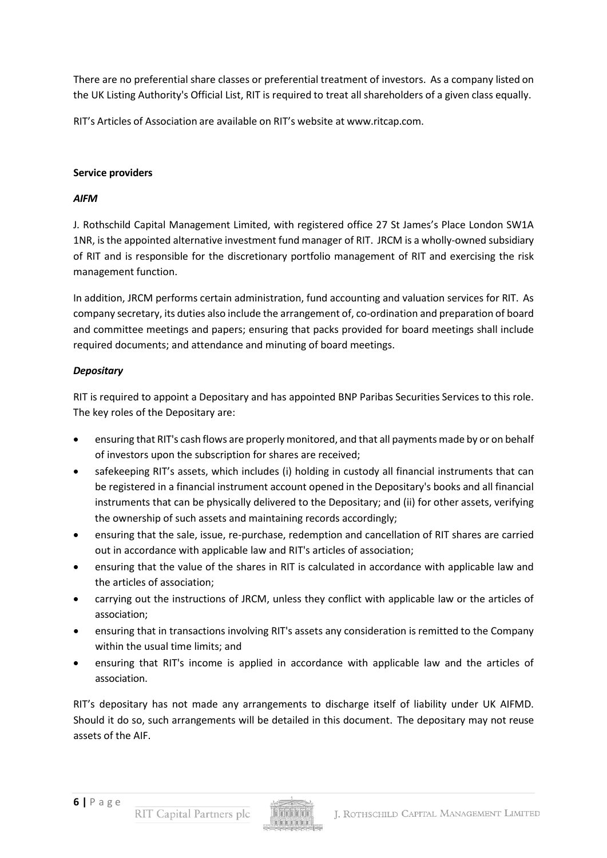There are no preferential share classes or preferential treatment of investors. As a company listed on the UK Listing Authority's Official List, RIT is required to treat all shareholders of a given class equally.

RIT's Articles of Association are available on RIT's website at [www.ritcap.com.](http://www.ritcap.com/)

#### **Service providers**

#### *AIFM*

J. Rothschild Capital Management Limited, with registered office 27 St James's Place London SW1A 1NR, is the appointed alternative investment fund manager of RIT. JRCM is a wholly-owned subsidiary of RIT and is responsible for the discretionary portfolio management of RIT and exercising the risk management function.

In addition, JRCM performs certain administration, fund accounting and valuation services for RIT. As company secretary, its duties also include the arrangement of, co-ordination and preparation of board and committee meetings and papers; ensuring that packs provided for board meetings shall include required documents; and attendance and minuting of board meetings.

## *Depositary*

RIT is required to appoint a Depositary and has appointed BNP Paribas Securities Services to this role. The key roles of the Depositary are:

- ensuring that RIT's cash flows are properly monitored, and that all payments made by or on behalf of investors upon the subscription for shares are received;
- safekeeping RIT's assets, which includes (i) holding in custody all financial instruments that can be registered in a financial instrument account opened in the Depositary's books and all financial instruments that can be physically delivered to the Depositary; and (ii) for other assets, verifying the ownership of such assets and maintaining records accordingly;
- ensuring that the sale, issue, re-purchase, redemption and cancellation of RIT shares are carried out in accordance with applicable law and RIT's articles of association;
- ensuring that the value of the shares in RIT is calculated in accordance with applicable law and the articles of association;
- carrying out the instructions of JRCM, unless they conflict with applicable law or the articles of association;
- ensuring that in transactions involving RIT's assets any consideration is remitted to the Company within the usual time limits; and
- ensuring that RIT's income is applied in accordance with applicable law and the articles of association.

RIT's depositary has not made any arrangements to discharge itself of liability under UK AIFMD. Should it do so, such arrangements will be detailed in this document. The depositary may not reuse assets of the AIF.

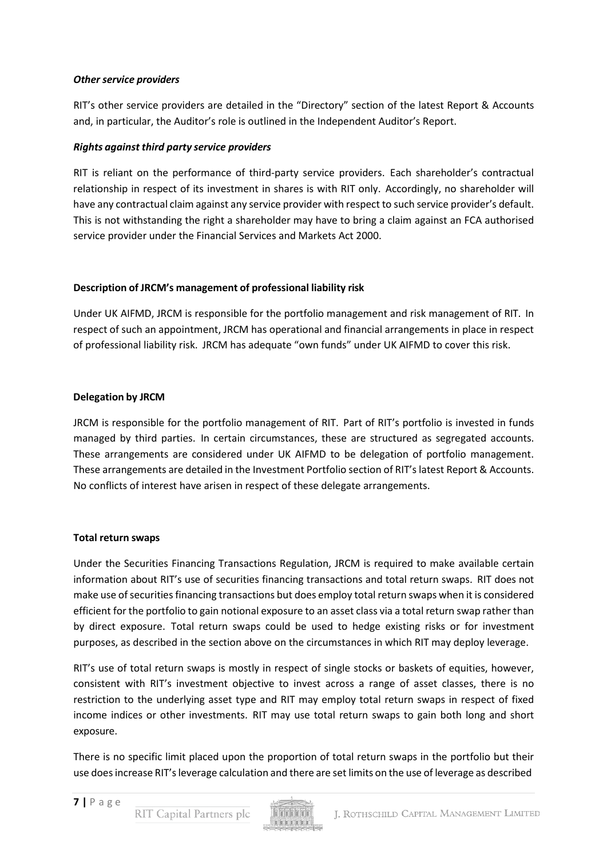#### *Other service providers*

RIT's other service providers are detailed in the "Directory" section of the latest Report & Accounts and, in particular, the Auditor's role is outlined in the Independent Auditor's Report.

## *Rights against third party service providers*

RIT is reliant on the performance of third-party service providers. Each shareholder's contractual relationship in respect of its investment in shares is with RIT only. Accordingly, no shareholder will have any contractual claim against any service provider with respect to such service provider's default. This is not withstanding the right a shareholder may have to bring a claim against an FCA authorised service provider under the Financial Services and Markets Act 2000.

#### **Description of JRCM's management of professional liability risk**

Under UK AIFMD, JRCM is responsible for the portfolio management and risk management of RIT. In respect of such an appointment, JRCM has operational and financial arrangements in place in respect of professional liability risk. JRCM has adequate "own funds" under UK AIFMD to cover this risk.

#### **Delegation by JRCM**

JRCM is responsible for the portfolio management of RIT. Part of RIT's portfolio is invested in funds managed by third parties. In certain circumstances, these are structured as segregated accounts. These arrangements are considered under UK AIFMD to be delegation of portfolio management. These arrangements are detailed in the Investment Portfolio section of RIT's latest Report & Accounts. No conflicts of interest have arisen in respect of these delegate arrangements.

#### **Total return swaps**

Under the Securities Financing Transactions Regulation, JRCM is required to make available certain information about RIT's use of securities financing transactions and total return swaps. RIT does not make use of securities financing transactions but does employ total return swaps when it is considered efficient for the portfolio to gain notional exposure to an asset class via a total return swap rather than by direct exposure. Total return swaps could be used to hedge existing risks or for investment purposes, as described in the section above on the circumstances in which RIT may deploy leverage.

RIT's use of total return swaps is mostly in respect of single stocks or baskets of equities, however, consistent with RIT's investment objective to invest across a range of asset classes, there is no restriction to the underlying asset type and RIT may employ total return swaps in respect of fixed income indices or other investments. RIT may use total return swaps to gain both long and short exposure.

There is no specific limit placed upon the proportion of total return swaps in the portfolio but their use doesincrease RIT'sleverage calculation and there are set limits on the use of leverage as described

RIT Capital Partners plc

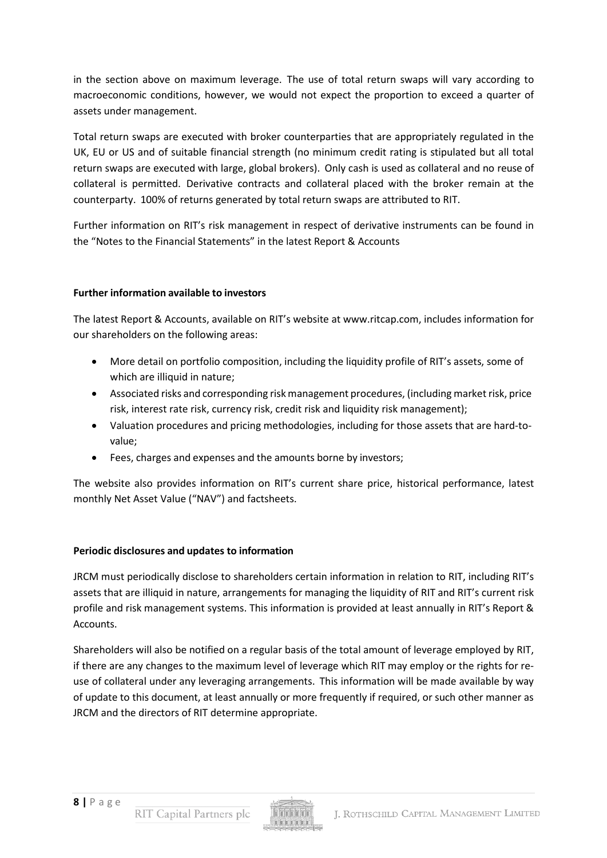in the section above on maximum leverage. The use of total return swaps will vary according to macroeconomic conditions, however, we would not expect the proportion to exceed a quarter of assets under management.

Total return swaps are executed with broker counterparties that are appropriately regulated in the UK, EU or US and of suitable financial strength (no minimum credit rating is stipulated but all total return swaps are executed with large, global brokers). Only cash is used as collateral and no reuse of collateral is permitted. Derivative contracts and collateral placed with the broker remain at the counterparty. 100% of returns generated by total return swaps are attributed to RIT.

Further information on RIT's risk management in respect of derivative instruments can be found in the "Notes to the Financial Statements" in the latest Report & Accounts

## **Further information available to investors**

The latest Report & Accounts, available on RIT's website at [www.ritcap.com,](http://www.ritcap.com/) includes information for our shareholders on the following areas:

- More detail on portfolio composition, including the liquidity profile of RIT's assets, some of which are illiquid in nature;
- Associated risks and corresponding risk management procedures, (including market risk, price risk, interest rate risk, currency risk, credit risk and liquidity risk management);
- Valuation procedures and pricing methodologies, including for those assets that are hard-tovalue;
- Fees, charges and expenses and the amounts borne by investors;

The website also provides information on RIT's current share price, historical performance, latest monthly Net Asset Value ("NAV") and factsheets.

## **Periodic disclosures and updates to information**

JRCM must periodically disclose to shareholders certain information in relation to RIT, including RIT's assets that are illiquid in nature, arrangements for managing the liquidity of RIT and RIT's current risk profile and risk management systems. This information is provided at least annually in RIT's Report & Accounts.

Shareholders will also be notified on a regular basis of the total amount of leverage employed by RIT, if there are any changes to the maximum level of leverage which RIT may employ or the rights for reuse of collateral under any leveraging arrangements. This information will be made available by way of update to this document, at least annually or more frequently if required, or such other manner as JRCM and the directors of RIT determine appropriate.